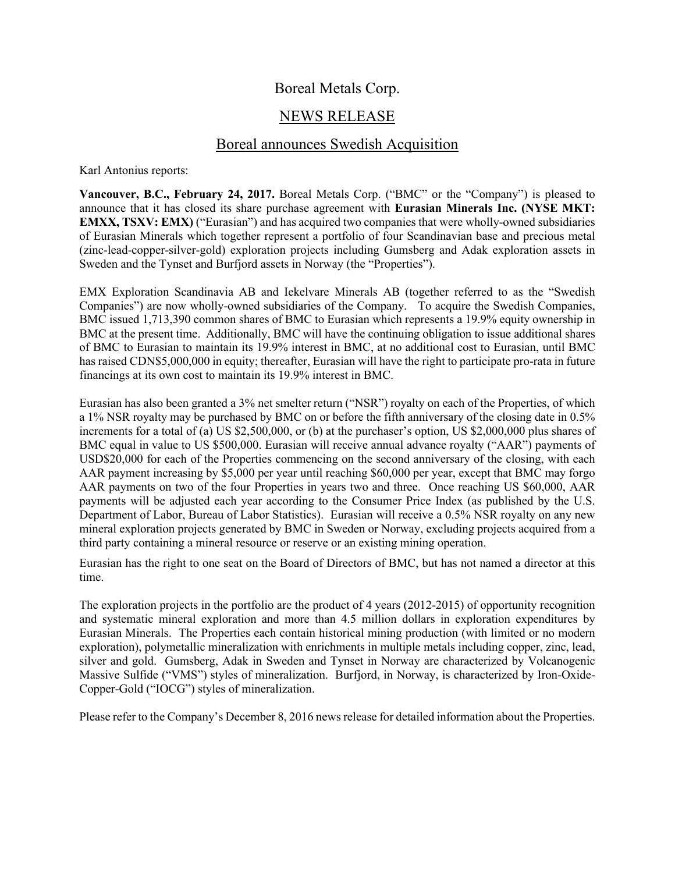## Boreal Metals Corp.

# NEWS RELEASE

### Boreal announces Swedish Acquisition

Karl Antonius reports:

**Vancouver, B.C., February 24, 2017.** Boreal Metals Corp. ("BMC" or the "Company") is pleased to announce that it has closed its share purchase agreement with **Eurasian Minerals Inc. (NYSE MKT: EMXX, TSXV: EMX)** ("Eurasian") and has acquired two companies that were wholly-owned subsidiaries of Eurasian Minerals which together represent a portfolio of four Scandinavian base and precious metal (zinc-lead-copper-silver-gold) exploration projects including Gumsberg and Adak exploration assets in Sweden and the Tynset and Burfjord assets in Norway (the "Properties").

EMX Exploration Scandinavia AB and Iekelvare Minerals AB (together referred to as the "Swedish Companies") are now wholly-owned subsidiaries of the Company. To acquire the Swedish Companies, BMC issued 1,713,390 common shares of BMC to Eurasian which represents a 19.9% equity ownership in BMC at the present time. Additionally, BMC will have the continuing obligation to issue additional shares of BMC to Eurasian to maintain its 19.9% interest in BMC, at no additional cost to Eurasian, until BMC has raised CDN\$5,000,000 in equity; thereafter, Eurasian will have the right to participate pro-rata in future financings at its own cost to maintain its 19.9% interest in BMC.

Eurasian has also been granted a 3% net smelter return ("NSR") royalty on each of the Properties, of which a 1% NSR royalty may be purchased by BMC on or before the fifth anniversary of the closing date in 0.5% increments for a total of (a) US \$2,500,000, or (b) at the purchaser's option, US \$2,000,000 plus shares of BMC equal in value to US \$500,000. Eurasian will receive annual advance royalty ("AAR") payments of USD\$20,000 for each of the Properties commencing on the second anniversary of the closing, with each AAR payment increasing by \$5,000 per year until reaching \$60,000 per year, except that BMC may forgo AAR payments on two of the four Properties in years two and three. Once reaching US \$60,000, AAR payments will be adjusted each year according to the Consumer Price Index (as published by the U.S. Department of Labor, Bureau of Labor Statistics). Eurasian will receive a 0.5% NSR royalty on any new mineral exploration projects generated by BMC in Sweden or Norway, excluding projects acquired from a third party containing a mineral resource or reserve or an existing mining operation.

Eurasian has the right to one seat on the Board of Directors of BMC, but has not named a director at this time.

The exploration projects in the portfolio are the product of 4 years (2012-2015) of opportunity recognition and systematic mineral exploration and more than 4.5 million dollars in exploration expenditures by Eurasian Minerals. The Properties each contain historical mining production (with limited or no modern exploration), polymetallic mineralization with enrichments in multiple metals including copper, zinc, lead, silver and gold. Gumsberg, Adak in Sweden and Tynset in Norway are characterized by Volcanogenic Massive Sulfide ("VMS") styles of mineralization. Burfjord, in Norway, is characterized by Iron-Oxide-Copper-Gold ("IOCG") styles of mineralization.

Please refer to the Company's December 8, 2016 news release for detailed information about the Properties.